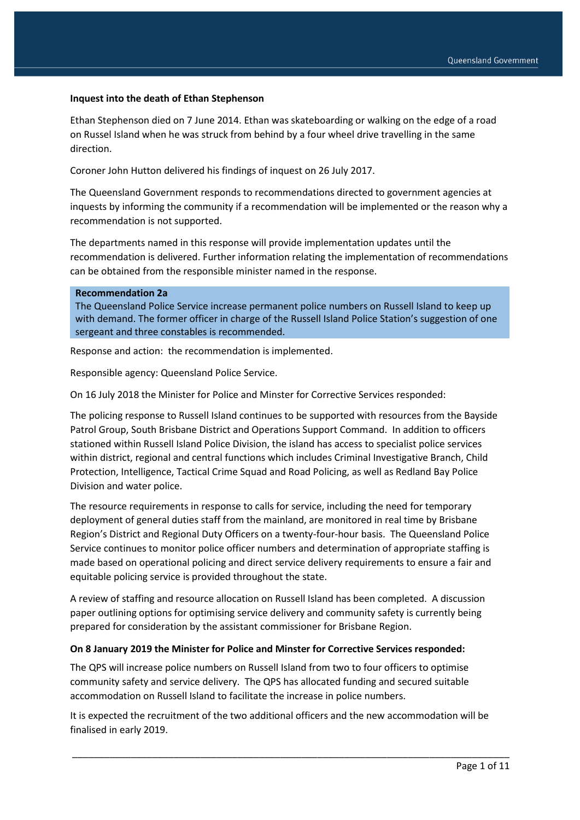### **Inquest into the death of Ethan Stephenson**

Ethan Stephenson died on 7 June 2014. Ethan was skateboarding or walking on the edge of a road on Russel Island when he was struck from behind by a four wheel drive travelling in the same direction.

Coroner John Hutton delivered his findings of inquest on 26 July 2017.

The Queensland Government responds to recommendations directed to government agencies at inquests by informing the community if a recommendation will be implemented or the reason why a recommendation is not supported.

The departments named in this response will provide implementation updates until the recommendation is delivered. Further information relating the implementation of recommendations can be obtained from the responsible minister named in the response.

## **Recommendation 2a**

The Queensland Police Service increase permanent police numbers on Russell Island to keep up with demand. The former officer in charge of the Russell Island Police Station's suggestion of one sergeant and three constables is recommended.

Response and action: the recommendation is implemented.

Responsible agency: Queensland Police Service.

On 16 July 2018 the Minister for Police and Minster for Corrective Services responded:

The policing response to Russell Island continues to be supported with resources from the Bayside Patrol Group, South Brisbane District and Operations Support Command. In addition to officers stationed within Russell Island Police Division, the island has access to specialist police services within district, regional and central functions which includes Criminal Investigative Branch, Child Protection, Intelligence, Tactical Crime Squad and Road Policing, as well as Redland Bay Police Division and water police.

The resource requirements in response to calls for service, including the need for temporary deployment of general duties staff from the mainland, are monitored in real time by Brisbane Region's District and Regional Duty Officers on a twenty-four-hour basis. The Queensland Police Service continues to monitor police officer numbers and determination of appropriate staffing is made based on operational policing and direct service delivery requirements to ensure a fair and equitable policing service is provided throughout the state.

A review of staffing and resource allocation on Russell Island has been completed. A discussion paper outlining options for optimising service delivery and community safety is currently being prepared for consideration by the assistant commissioner for Brisbane Region.

### **On 8 January 2019 the Minister for Police and Minster for Corrective Services responded:**

The QPS will increase police numbers on Russell Island from two to four officers to optimise community safety and service delivery. The QPS has allocated funding and secured suitable accommodation on Russell Island to facilitate the increase in police numbers.

It is expected the recruitment of the two additional officers and the new accommodation will be finalised in early 2019.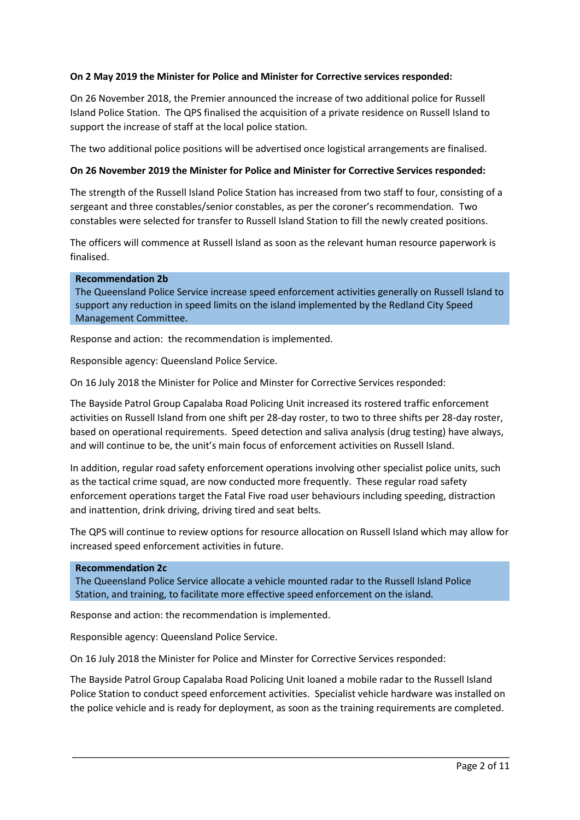# **On 2 May 2019 the Minister for Police and Minister for Corrective services responded:**

On 26 November 2018, the Premier announced the increase of two additional police for Russell Island Police Station. The QPS finalised the acquisition of a private residence on Russell Island to support the increase of staff at the local police station.

The two additional police positions will be advertised once logistical arrangements are finalised.

# **On 26 November 2019 the Minister for Police and Minister for Corrective Services responded:**

The strength of the Russell Island Police Station has increased from two staff to four, consisting of a sergeant and three constables/senior constables, as per the coroner's recommendation. Two constables were selected for transfer to Russell Island Station to fill the newly created positions.

The officers will commence at Russell Island as soon as the relevant human resource paperwork is finalised.

#### **Recommendation 2b**

The Queensland Police Service increase speed enforcement activities generally on Russell Island to support any reduction in speed limits on the island implemented by the Redland City Speed Management Committee.

Response and action: the recommendation is implemented.

Responsible agency: Queensland Police Service.

On 16 July 2018 the Minister for Police and Minster for Corrective Services responded:

The Bayside Patrol Group Capalaba Road Policing Unit increased its rostered traffic enforcement activities on Russell Island from one shift per 28-day roster, to two to three shifts per 28-day roster, based on operational requirements. Speed detection and saliva analysis (drug testing) have always, and will continue to be, the unit's main focus of enforcement activities on Russell Island.

In addition, regular road safety enforcement operations involving other specialist police units, such as the tactical crime squad, are now conducted more frequently. These regular road safety enforcement operations target the Fatal Five road user behaviours including speeding, distraction and inattention, drink driving, driving tired and seat belts.

The QPS will continue to review options for resource allocation on Russell Island which may allow for increased speed enforcement activities in future.

#### **Recommendation 2c**

The Queensland Police Service allocate a vehicle mounted radar to the Russell Island Police Station, and training, to facilitate more effective speed enforcement on the island.

Response and action: the recommendation is implemented.

Responsible agency: Queensland Police Service.

On 16 July 2018 the Minister for Police and Minster for Corrective Services responded:

The Bayside Patrol Group Capalaba Road Policing Unit loaned a mobile radar to the Russell Island Police Station to conduct speed enforcement activities. Specialist vehicle hardware was installed on the police vehicle and is ready for deployment, as soon as the training requirements are completed.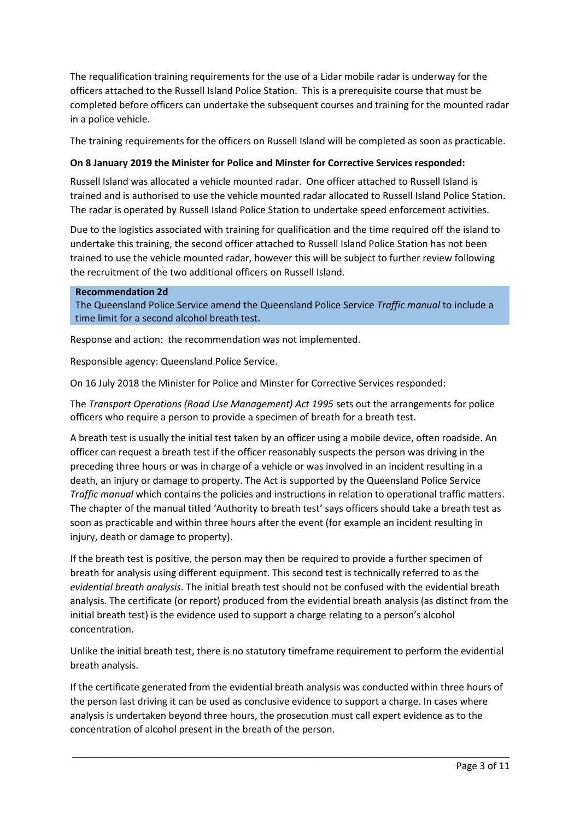The requalification training requirements for the use of a Lidar mobile radar is underway for the officers attached to the Russell Island Police Station. This is a prerequisite course that must be completed before officers can undertake the subsequent courses and training for the mounted radar in a police vehicle.

The training requirements for the officers on Russell Island will be completed as soon as practicable.

# **On 8 January 2019 the Minister for Police and Minster for Corrective Services responded:**

Russell Island was allocated a vehicle mounted radar. One officer attached to Russell Island is trained and is authorised to use the vehicle mounted radar allocated to Russell Island Police Station. The radar is operated by Russell Island Police Station to undertake speed enforcement activities.

Due to the logistics associated with training for qualification and the time required off the island to undertake this training, the second officer attached to Russell Island Police Station has not been trained to use the vehicle mounted radar, however this will be subject to further review following the recruitment of the two additional officers on Russell Island.

**Recommendation 2d** The Queensland Police Service amend the Queensland Police Service *Traffic manual* to include a time limit for a second alcohol breath test.

Response and action: the recommendation was not implemented.

Responsible agency: Queensland Police Service.

On 16 July 2018 the Minister for Police and Minster for Corrective Services responded:

The *Transport Operations (Road Use Management) Act 1995* sets out the arrangements for police officers who require a person to provide a specimen of breath for a breath test.

A breath test is usually the initial test taken by an officer using a mobile device, often roadside. An officer can request a breath test if the officer reasonably suspects the person was driving in the preceding three hours or was in charge of a vehicle or was involved in an incident resulting in a death, an injury or damage to property. The Act is supported by the Queensland Police Service *Traffic manual* which contains the policies and instructions in relation to operational traffic matters. The chapter of the manual titled 'Authority to breath test' says officers should take a breath test as soon as practicable and within three hours after the event (for example an incident resulting in injury, death or damage to property).

If the breath test is positive, the person may then be required to provide a further specimen of breath for analysis using different equipment. This second test is technically referred to as the *evidential breath analysis*. The initial breath test should not be confused with the evidential breath analysis. The certificate (or report) produced from the evidential breath analysis (as distinct from the initial breath test) is the evidence used to support a charge relating to a person's alcohol concentration.

Unlike the initial breath test, there is no statutory timeframe requirement to perform the evidential breath analysis.

If the certificate generated from the evidential breath analysis was conducted within three hours of the person last driving it can be used as conclusive evidence to support a charge. In cases where analysis is undertaken beyond three hours, the prosecution must call expert evidence as to the concentration of alcohol present in the breath of the person.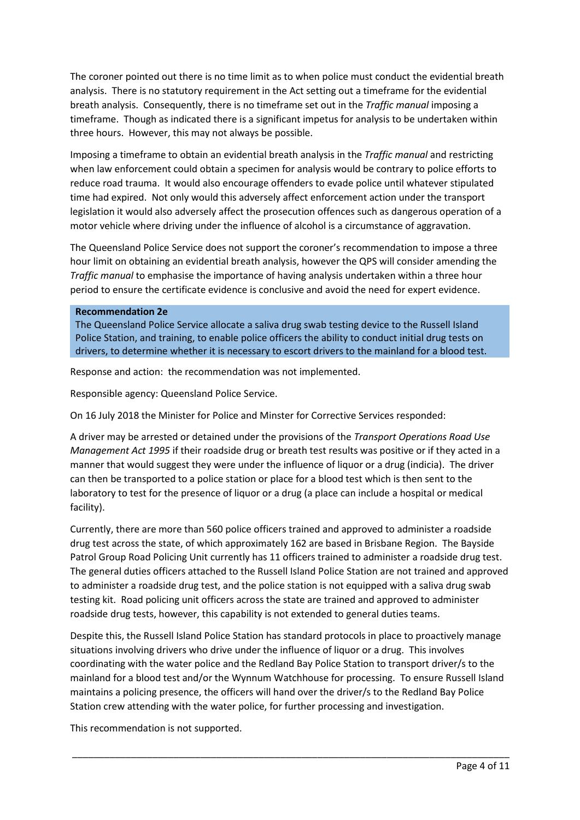The coroner pointed out there is no time limit as to when police must conduct the evidential breath analysis. There is no statutory requirement in the Act setting out a timeframe for the evidential breath analysis. Consequently, there is no timeframe set out in the *Traffic manual* imposing a timeframe. Though as indicated there is a significant impetus for analysis to be undertaken within three hours. However, this may not always be possible.

Imposing a timeframe to obtain an evidential breath analysis in the *Traffic manual* and restricting when law enforcement could obtain a specimen for analysis would be contrary to police efforts to reduce road trauma. It would also encourage offenders to evade police until whatever stipulated time had expired. Not only would this adversely affect enforcement action under the transport legislation it would also adversely affect the prosecution offences such as dangerous operation of a motor vehicle where driving under the influence of alcohol is a circumstance of aggravation.

The Queensland Police Service does not support the coroner's recommendation to impose a three hour limit on obtaining an evidential breath analysis, however the QPS will consider amending the *Traffic manual* to emphasise the importance of having analysis undertaken within a three hour period to ensure the certificate evidence is conclusive and avoid the need for expert evidence.

### **Recommendation 2e**

The Queensland Police Service allocate a saliva drug swab testing device to the Russell Island Police Station, and training, to enable police officers the ability to conduct initial drug tests on drivers, to determine whether it is necessary to escort drivers to the mainland for a blood test.

Response and action: the recommendation was not implemented.

Responsible agency: Queensland Police Service.

On 16 July 2018 the Minister for Police and Minster for Corrective Services responded:

A driver may be arrested or detained under the provisions of the *Transport Operations Road Use Management Act 1995* if their roadside drug or breath test results was positive or if they acted in a manner that would suggest they were under the influence of liquor or a drug (indicia). The driver can then be transported to a police station or place for a blood test which is then sent to the laboratory to test for the presence of liquor or a drug (a place can include a hospital or medical facility).

Currently, there are more than 560 police officers trained and approved to administer a roadside drug test across the state, of which approximately 162 are based in Brisbane Region. The Bayside Patrol Group Road Policing Unit currently has 11 officers trained to administer a roadside drug test. The general duties officers attached to the Russell Island Police Station are not trained and approved to administer a roadside drug test, and the police station is not equipped with a saliva drug swab testing kit. Road policing unit officers across the state are trained and approved to administer roadside drug tests, however, this capability is not extended to general duties teams.

Despite this, the Russell Island Police Station has standard protocols in place to proactively manage situations involving drivers who drive under the influence of liquor or a drug. This involves coordinating with the water police and the Redland Bay Police Station to transport driver/s to the mainland for a blood test and/or the Wynnum Watchhouse for processing. To ensure Russell Island maintains a policing presence, the officers will hand over the driver/s to the Redland Bay Police Station crew attending with the water police, for further processing and investigation.

\_\_\_\_\_\_\_\_\_\_\_\_\_\_\_\_\_\_\_\_\_\_\_\_\_\_\_\_\_\_\_\_\_\_\_\_\_\_\_\_\_\_\_\_\_\_\_\_\_\_\_\_\_\_\_\_\_\_\_\_\_\_\_\_\_\_\_\_\_\_\_\_\_\_\_\_\_\_\_\_\_\_

This recommendation is not supported.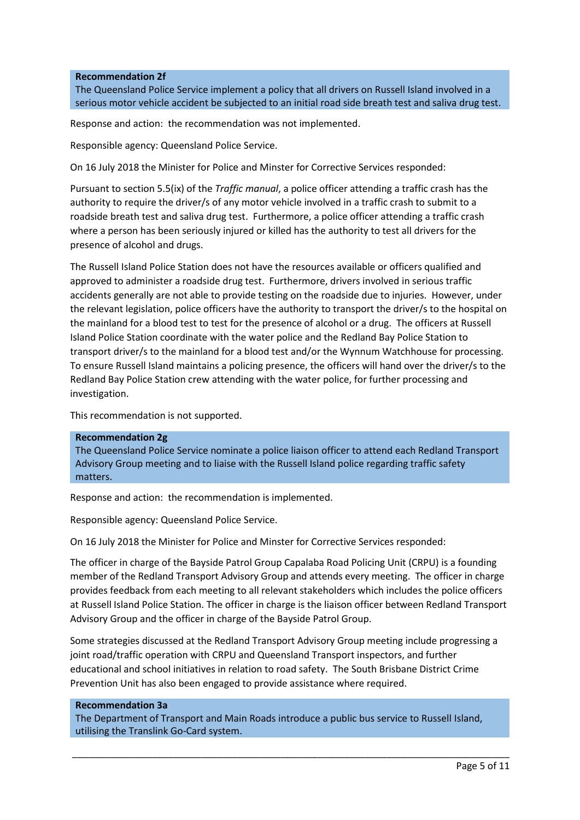### **Recommendation 2f**

The Queensland Police Service implement a policy that all drivers on Russell Island involved in a serious motor vehicle accident be subjected to an initial road side breath test and saliva drug test.

Response and action: the recommendation was not implemented.

Responsible agency: Queensland Police Service.

On 16 July 2018 the Minister for Police and Minster for Corrective Services responded:

Pursuant to section 5.5(ix) of the *Traffic manual*, a police officer attending a traffic crash has the authority to require the driver/s of any motor vehicle involved in a traffic crash to submit to a roadside breath test and saliva drug test. Furthermore, a police officer attending a traffic crash where a person has been seriously injured or killed has the authority to test all drivers for the presence of alcohol and drugs.

The Russell Island Police Station does not have the resources available or officers qualified and approved to administer a roadside drug test. Furthermore, drivers involved in serious traffic accidents generally are not able to provide testing on the roadside due to injuries. However, under the relevant legislation, police officers have the authority to transport the driver/s to the hospital on the mainland for a blood test to test for the presence of alcohol or a drug. The officers at Russell Island Police Station coordinate with the water police and the Redland Bay Police Station to transport driver/s to the mainland for a blood test and/or the Wynnum Watchhouse for processing. To ensure Russell Island maintains a policing presence, the officers will hand over the driver/s to the Redland Bay Police Station crew attending with the water police, for further processing and investigation.

This recommendation is not supported.

#### **Recommendation 2g**

The Queensland Police Service nominate a police liaison officer to attend each Redland Transport Advisory Group meeting and to liaise with the Russell Island police regarding traffic safety matters.

Response and action: the recommendation is implemented.

Responsible agency: Queensland Police Service.

On 16 July 2018 the Minister for Police and Minster for Corrective Services responded:

The officer in charge of the Bayside Patrol Group Capalaba Road Policing Unit (CRPU) is a founding member of the Redland Transport Advisory Group and attends every meeting. The officer in charge provides feedback from each meeting to all relevant stakeholders which includes the police officers at Russell Island Police Station. The officer in charge is the liaison officer between Redland Transport Advisory Group and the officer in charge of the Bayside Patrol Group.

Some strategies discussed at the Redland Transport Advisory Group meeting include progressing a joint road/traffic operation with CRPU and Queensland Transport inspectors, and further educational and school initiatives in relation to road safety. The South Brisbane District Crime Prevention Unit has also been engaged to provide assistance where required.

#### **Recommendation 3a**

The Department of Transport and Main Roads introduce a public bus service to Russell Island, utilising the Translink Go-Card system.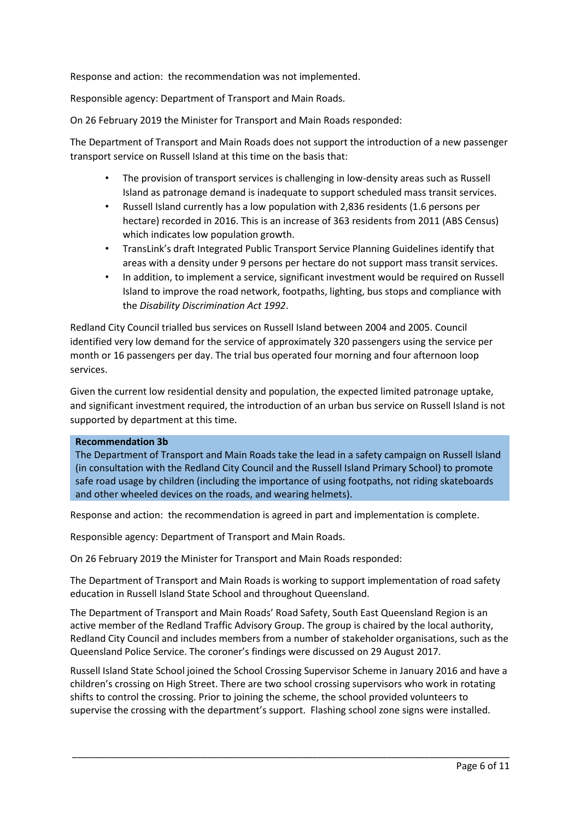Response and action: the recommendation was not implemented.

Responsible agency: Department of Transport and Main Roads.

On 26 February 2019 the Minister for Transport and Main Roads responded:

The Department of Transport and Main Roads does not support the introduction of a new passenger transport service on Russell Island at this time on the basis that:

- The provision of transport services is challenging in low-density areas such as Russell Island as patronage demand is inadequate to support scheduled mass transit services.
- Russell Island currently has a low population with 2,836 residents (1.6 persons per hectare) recorded in 2016. This is an increase of 363 residents from 2011 (ABS Census) which indicates low population growth.
- TransLink's draft Integrated Public Transport Service Planning Guidelines identify that areas with a density under 9 persons per hectare do not support mass transit services.
- In addition, to implement a service, significant investment would be required on Russell Island to improve the road network, footpaths, lighting, bus stops and compliance with the *Disability Discrimination Act 1992*.

Redland City Council trialled bus services on Russell Island between 2004 and 2005. Council identified very low demand for the service of approximately 320 passengers using the service per month or 16 passengers per day. The trial bus operated four morning and four afternoon loop services.

Given the current low residential density and population, the expected limited patronage uptake, and significant investment required, the introduction of an urban bus service on Russell Island is not supported by department at this time.

## **Recommendation 3b**

The Department of Transport and Main Roads take the lead in a safety campaign on Russell Island (in consultation with the Redland City Council and the Russell Island Primary School) to promote safe road usage by children (including the importance of using footpaths, not riding skateboards and other wheeled devices on the roads, and wearing helmets).

Response and action: the recommendation is agreed in part and implementation is complete.

Responsible agency: Department of Transport and Main Roads.

On 26 February 2019 the Minister for Transport and Main Roads responded:

The Department of Transport and Main Roads is working to support implementation of road safety education in Russell Island State School and throughout Queensland.

The Department of Transport and Main Roads' Road Safety, South East Queensland Region is an active member of the Redland Traffic Advisory Group. The group is chaired by the local authority, Redland City Council and includes members from a number of stakeholder organisations, such as the Queensland Police Service. The coroner's findings were discussed on 29 August 2017.

Russell Island State School joined the School Crossing Supervisor Scheme in January 2016 and have a children's crossing on High Street. There are two school crossing supervisors who work in rotating shifts to control the crossing. Prior to joining the scheme, the school provided volunteers to supervise the crossing with the department's support. Flashing school zone signs were installed.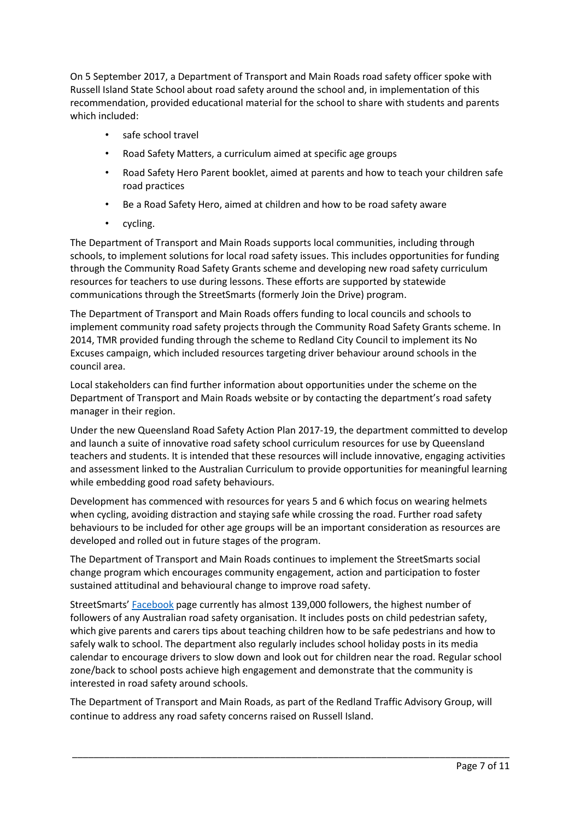On 5 September 2017, a Department of Transport and Main Roads road safety officer spoke with Russell Island State School about road safety around the school and, in implementation of this recommendation, provided educational material for the school to share with students and parents which included:

- safe school travel
- Road Safety Matters, a curriculum aimed at specific age groups
- Road Safety Hero Parent booklet, aimed at parents and how to teach your children safe road practices
- Be a Road Safety Hero, aimed at children and how to be road safety aware
- cycling.

The Department of Transport and Main Roads supports local communities, including through schools, to implement solutions for local road safety issues. This includes opportunities for funding through the Community Road Safety Grants scheme and developing new road safety curriculum resources for teachers to use during lessons. These efforts are supported by statewide communications through the StreetSmarts (formerly Join the Drive) program.

The Department of Transport and Main Roads offers funding to local councils and schools to implement community road safety projects through the Community Road Safety Grants scheme. In 2014, TMR provided funding through the scheme to Redland City Council to implement its No Excuses campaign, which included resources targeting driver behaviour around schools in the council area.

Local stakeholders can find further information about opportunities under the scheme on the Department of Transport and Main Roads website or by contacting the department's road safety manager in their region.

Under the new Queensland Road Safety Action Plan 2017-19, the department committed to develop and launch a suite of innovative road safety school curriculum resources for use by Queensland teachers and students. It is intended that these resources will include innovative, engaging activities and assessment linked to the Australian Curriculum to provide opportunities for meaningful learning while embedding good road safety behaviours.

Development has commenced with resources for years 5 and 6 which focus on wearing helmets when cycling, avoiding distraction and staying safe while crossing the road. Further road safety behaviours to be included for other age groups will be an important consideration as resources are developed and rolled out in future stages of the program.

The Department of Transport and Main Roads continues to implement the StreetSmarts social change program which encourages community engagement, action and participation to foster sustained attitudinal and behavioural change to improve road safety.

StreetSmarts' [Facebook](https://www.facebook.com/streetsmartsQLD/) page currently has almost 139,000 followers, the highest number of followers of any Australian road safety organisation. It includes posts on child pedestrian safety, which give parents and carers tips about teaching children how to be safe pedestrians and how to safely walk to school. The department also regularly includes school holiday posts in its media calendar to encourage drivers to slow down and look out for children near the road. Regular school zone/back to school posts achieve high engagement and demonstrate that the community is interested in road safety around schools.

The Department of Transport and Main Roads, as part of the Redland Traffic Advisory Group, will continue to address any road safety concerns raised on Russell Island.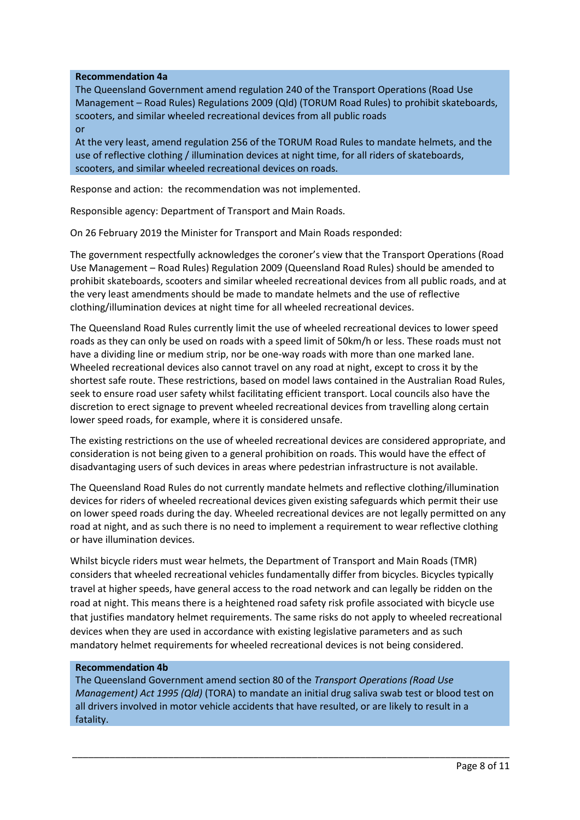## **Recommendation 4a**

The Queensland Government amend regulation 240 of the Transport Operations (Road Use Management – Road Rules) Regulations 2009 (Qld) (TORUM Road Rules) to prohibit skateboards, scooters, and similar wheeled recreational devices from all public roads or

At the very least, amend regulation 256 of the TORUM Road Rules to mandate helmets, and the use of reflective clothing / illumination devices at night time, for all riders of skateboards, scooters, and similar wheeled recreational devices on roads.

Response and action: the recommendation was not implemented.

Responsible agency: Department of Transport and Main Roads.

On 26 February 2019 the Minister for Transport and Main Roads responded:

The government respectfully acknowledges the coroner's view that the Transport Operations (Road Use Management – Road Rules) Regulation 2009 (Queensland Road Rules) should be amended to prohibit skateboards, scooters and similar wheeled recreational devices from all public roads, and at the very least amendments should be made to mandate helmets and the use of reflective clothing/illumination devices at night time for all wheeled recreational devices.

The Queensland Road Rules currently limit the use of wheeled recreational devices to lower speed roads as they can only be used on roads with a speed limit of 50km/h or less. These roads must not have a dividing line or medium strip, nor be one-way roads with more than one marked lane. Wheeled recreational devices also cannot travel on any road at night, except to cross it by the shortest safe route. These restrictions, based on model laws contained in the Australian Road Rules, seek to ensure road user safety whilst facilitating efficient transport. Local councils also have the discretion to erect signage to prevent wheeled recreational devices from travelling along certain lower speed roads, for example, where it is considered unsafe.

The existing restrictions on the use of wheeled recreational devices are considered appropriate, and consideration is not being given to a general prohibition on roads. This would have the effect of disadvantaging users of such devices in areas where pedestrian infrastructure is not available.

The Queensland Road Rules do not currently mandate helmets and reflective clothing/illumination devices for riders of wheeled recreational devices given existing safeguards which permit their use on lower speed roads during the day. Wheeled recreational devices are not legally permitted on any road at night, and as such there is no need to implement a requirement to wear reflective clothing or have illumination devices.

Whilst bicycle riders must wear helmets, the Department of Transport and Main Roads (TMR) considers that wheeled recreational vehicles fundamentally differ from bicycles. Bicycles typically travel at higher speeds, have general access to the road network and can legally be ridden on the road at night. This means there is a heightened road safety risk profile associated with bicycle use that justifies mandatory helmet requirements. The same risks do not apply to wheeled recreational devices when they are used in accordance with existing legislative parameters and as such mandatory helmet requirements for wheeled recreational devices is not being considered.

#### **Recommendation 4b**

The Queensland Government amend section 80 of the *Transport Operations (Road Use Management) Act 1995 (Qld)* (TORA) to mandate an initial drug saliva swab test or blood test on all drivers involved in motor vehicle accidents that have resulted, or are likely to result in a fatality.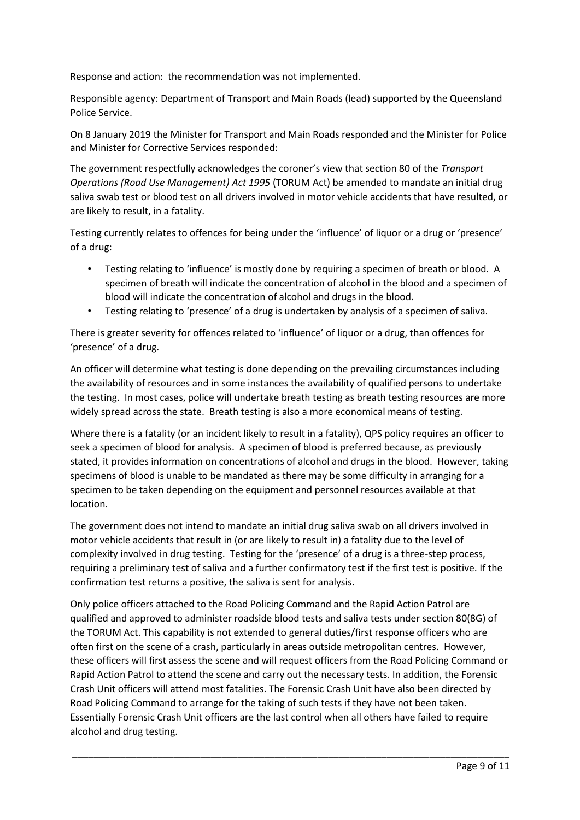Response and action: the recommendation was not implemented.

Responsible agency: Department of Transport and Main Roads (lead) supported by the Queensland Police Service.

On 8 January 2019 the Minister for Transport and Main Roads responded and the Minister for Police and Minister for Corrective Services responded:

The government respectfully acknowledges the coroner's view that section 80 of the *Transport Operations (Road Use Management) Act 1995* (TORUM Act) be amended to mandate an initial drug saliva swab test or blood test on all drivers involved in motor vehicle accidents that have resulted, or are likely to result, in a fatality.

Testing currently relates to offences for being under the 'influence' of liquor or a drug or 'presence' of a drug:

- Testing relating to 'influence' is mostly done by requiring a specimen of breath or blood. A specimen of breath will indicate the concentration of alcohol in the blood and a specimen of blood will indicate the concentration of alcohol and drugs in the blood.
- Testing relating to 'presence' of a drug is undertaken by analysis of a specimen of saliva.

There is greater severity for offences related to 'influence' of liquor or a drug, than offences for 'presence' of a drug.

An officer will determine what testing is done depending on the prevailing circumstances including the availability of resources and in some instances the availability of qualified persons to undertake the testing. In most cases, police will undertake breath testing as breath testing resources are more widely spread across the state. Breath testing is also a more economical means of testing.

Where there is a fatality (or an incident likely to result in a fatality), QPS policy requires an officer to seek a specimen of blood for analysis. A specimen of blood is preferred because, as previously stated, it provides information on concentrations of alcohol and drugs in the blood. However, taking specimens of blood is unable to be mandated as there may be some difficulty in arranging for a specimen to be taken depending on the equipment and personnel resources available at that location.

The government does not intend to mandate an initial drug saliva swab on all drivers involved in motor vehicle accidents that result in (or are likely to result in) a fatality due to the level of complexity involved in drug testing. Testing for the 'presence' of a drug is a three-step process, requiring a preliminary test of saliva and a further confirmatory test if the first test is positive. If the confirmation test returns a positive, the saliva is sent for analysis.

Only police officers attached to the Road Policing Command and the Rapid Action Patrol are qualified and approved to administer roadside blood tests and saliva tests under section 80(8G) of the TORUM Act. This capability is not extended to general duties/first response officers who are often first on the scene of a crash, particularly in areas outside metropolitan centres. However, these officers will first assess the scene and will request officers from the Road Policing Command or Rapid Action Patrol to attend the scene and carry out the necessary tests. In addition, the Forensic Crash Unit officers will attend most fatalities. The Forensic Crash Unit have also been directed by Road Policing Command to arrange for the taking of such tests if they have not been taken. Essentially Forensic Crash Unit officers are the last control when all others have failed to require alcohol and drug testing.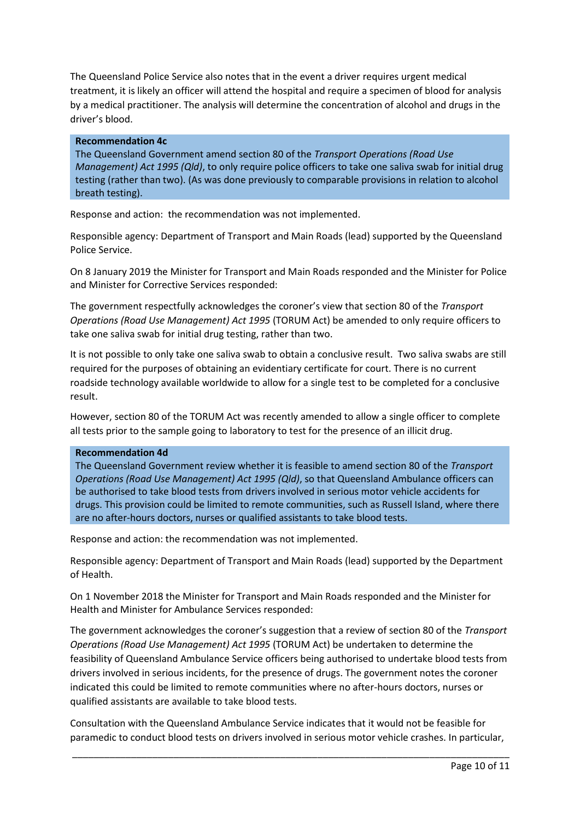The Queensland Police Service also notes that in the event a driver requires urgent medical treatment, it is likely an officer will attend the hospital and require a specimen of blood for analysis by a medical practitioner. The analysis will determine the concentration of alcohol and drugs in the driver's blood.

### **Recommendation 4c**

The Queensland Government amend section 80 of the *Transport Operations (Road Use Management) Act 1995 (Qld)*, to only require police officers to take one saliva swab for initial drug testing (rather than two). (As was done previously to comparable provisions in relation to alcohol breath testing).

Response and action: the recommendation was not implemented.

Responsible agency: Department of Transport and Main Roads (lead) supported by the Queensland Police Service.

On 8 January 2019 the Minister for Transport and Main Roads responded and the Minister for Police and Minister for Corrective Services responded:

The government respectfully acknowledges the coroner's view that section 80 of the *Transport Operations (Road Use Management) Act 1995* (TORUM Act) be amended to only require officers to take one saliva swab for initial drug testing, rather than two.

It is not possible to only take one saliva swab to obtain a conclusive result. Two saliva swabs are still required for the purposes of obtaining an evidentiary certificate for court. There is no current roadside technology available worldwide to allow for a single test to be completed for a conclusive result.

However, section 80 of the TORUM Act was recently amended to allow a single officer to complete all tests prior to the sample going to laboratory to test for the presence of an illicit drug.

## **Recommendation 4d**

The Queensland Government review whether it is feasible to amend section 80 of the *Transport Operations (Road Use Management) Act 1995 (Qld)*, so that Queensland Ambulance officers can be authorised to take blood tests from drivers involved in serious motor vehicle accidents for drugs. This provision could be limited to remote communities, such as Russell Island, where there are no after-hours doctors, nurses or qualified assistants to take blood tests.

Response and action: the recommendation was not implemented.

Responsible agency: Department of Transport and Main Roads (lead) supported by the Department of Health.

On 1 November 2018 the Minister for Transport and Main Roads responded and the Minister for Health and Minister for Ambulance Services responded:

The government acknowledges the coroner's suggestion that a review of section 80 of the *Transport Operations (Road Use Management) Act 1995* (TORUM Act) be undertaken to determine the feasibility of Queensland Ambulance Service officers being authorised to undertake blood tests from drivers involved in serious incidents, for the presence of drugs. The government notes the coroner indicated this could be limited to remote communities where no after-hours doctors, nurses or qualified assistants are available to take blood tests.

Consultation with the Queensland Ambulance Service indicates that it would not be feasible for paramedic to conduct blood tests on drivers involved in serious motor vehicle crashes. In particular,